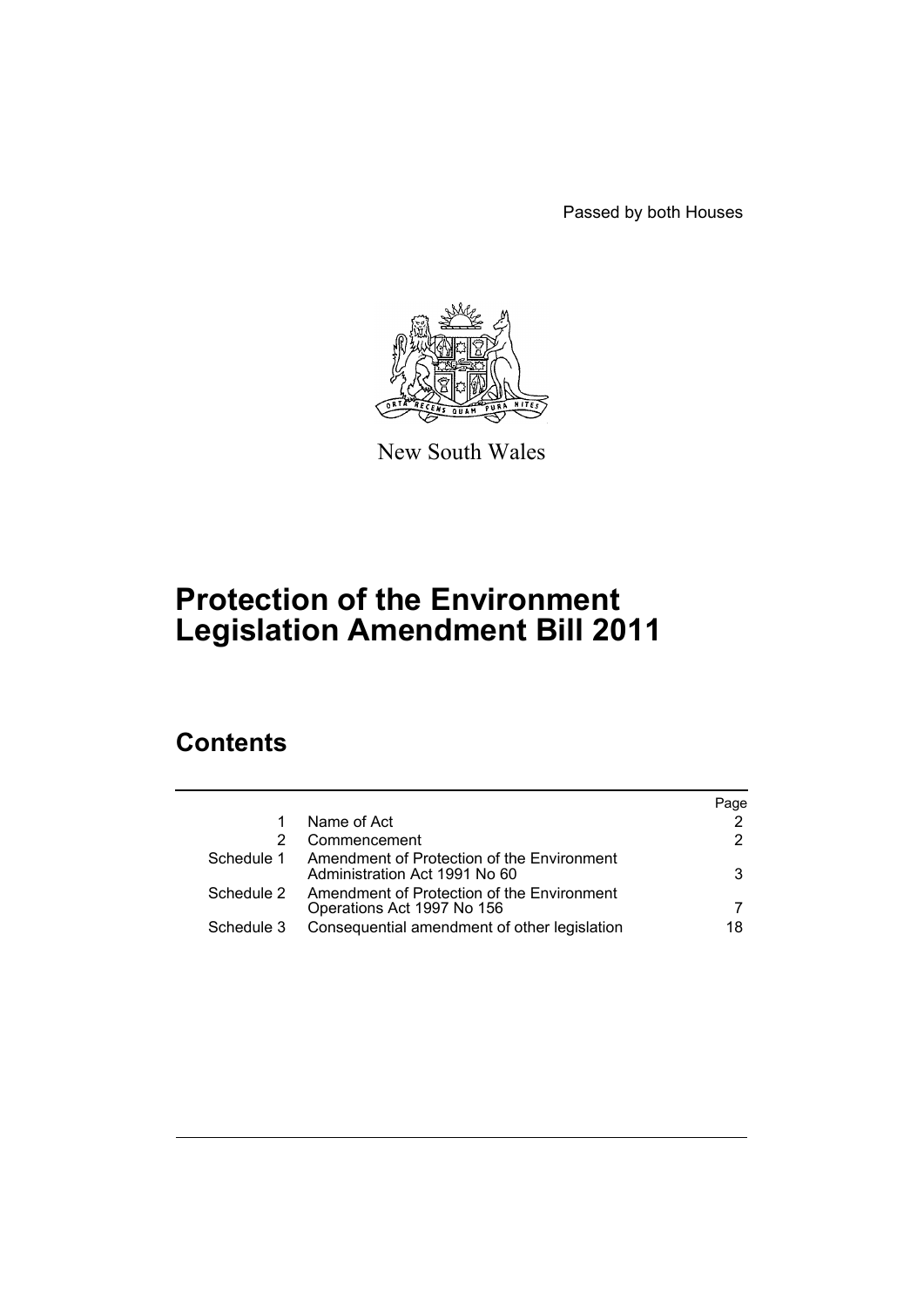Passed by both Houses



New South Wales

# **Protection of the Environment Legislation Amendment Bill 2011**

# **Contents**

|            |                                                                             | Page |
|------------|-----------------------------------------------------------------------------|------|
|            | Name of Act                                                                 | 2    |
|            | Commencement                                                                | 2    |
| Schedule 1 | Amendment of Protection of the Environment<br>Administration Act 1991 No 60 | 3    |
| Schedule 2 | Amendment of Protection of the Environment<br>Operations Act 1997 No 156    |      |
| Schedule 3 | Consequential amendment of other legislation                                | 18   |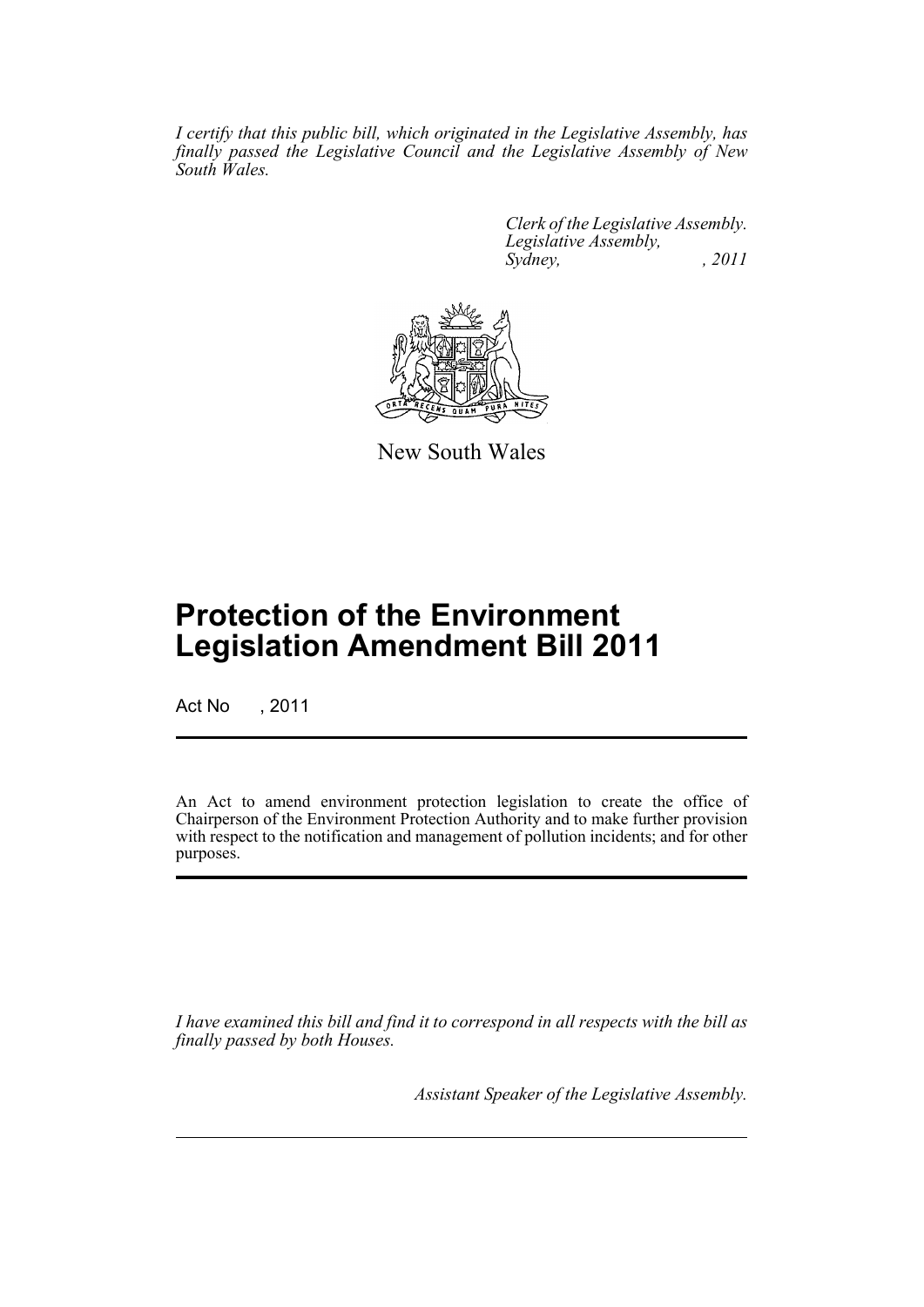*I certify that this public bill, which originated in the Legislative Assembly, has finally passed the Legislative Council and the Legislative Assembly of New South Wales.*

> *Clerk of the Legislative Assembly. Legislative Assembly, Sydney, , 2011*



New South Wales

# **Protection of the Environment Legislation Amendment Bill 2011**

Act No , 2011

An Act to amend environment protection legislation to create the office of Chairperson of the Environment Protection Authority and to make further provision with respect to the notification and management of pollution incidents; and for other purposes.

*I have examined this bill and find it to correspond in all respects with the bill as finally passed by both Houses.*

*Assistant Speaker of the Legislative Assembly.*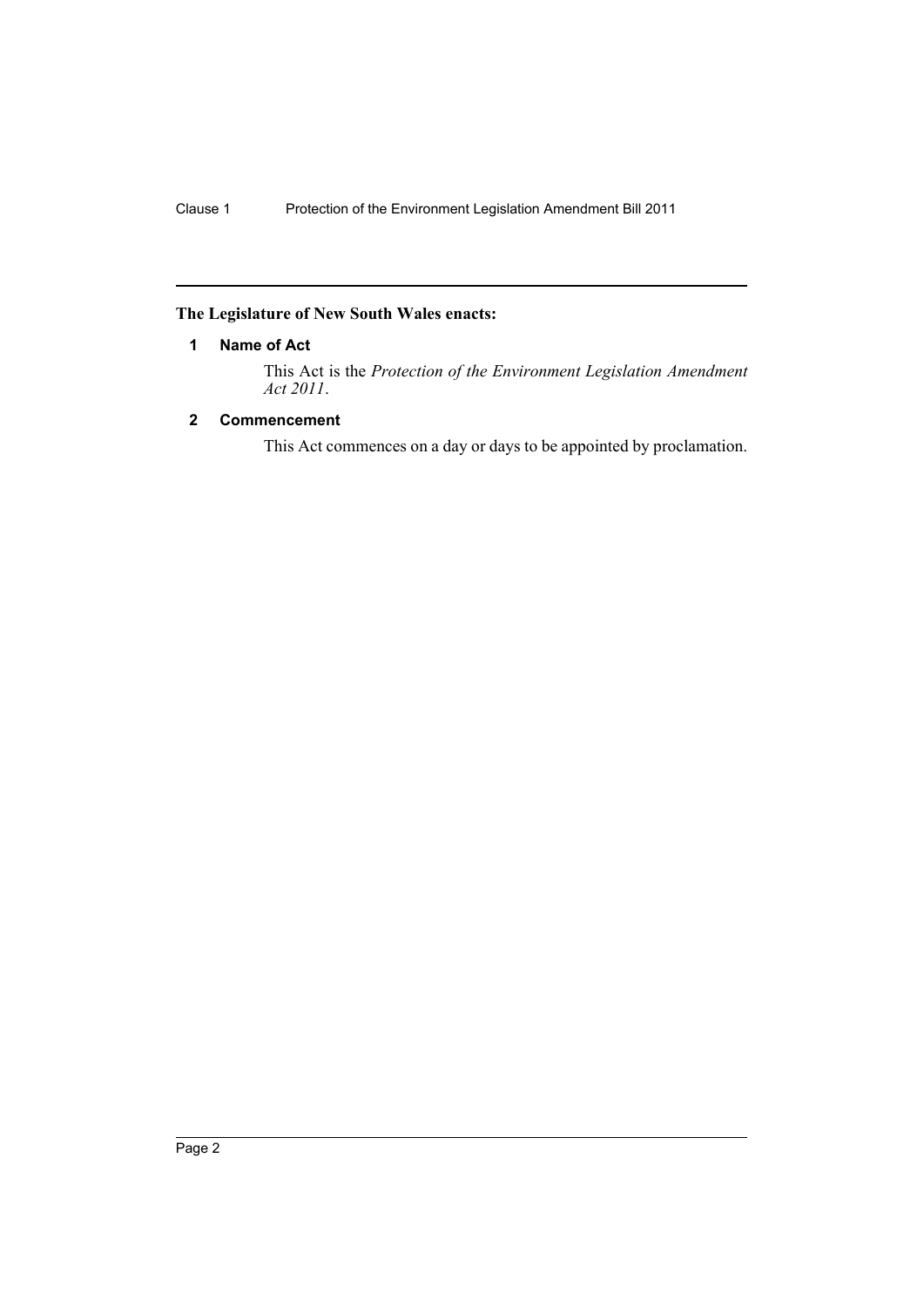# <span id="page-3-0"></span>**The Legislature of New South Wales enacts:**

# **1 Name of Act**

This Act is the *Protection of the Environment Legislation Amendment Act 2011*.

## <span id="page-3-1"></span>**2 Commencement**

This Act commences on a day or days to be appointed by proclamation.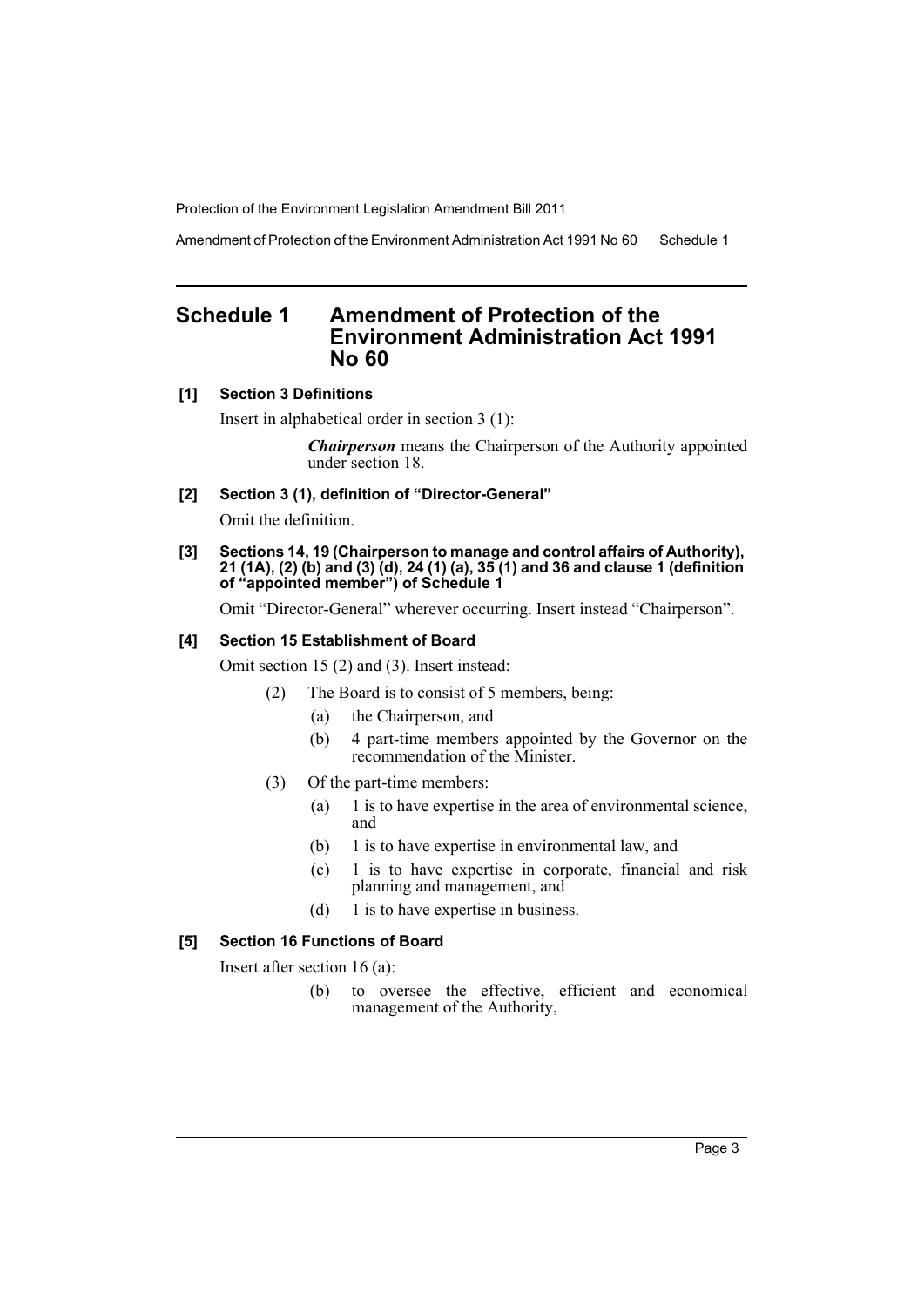Amendment of Protection of the Environment Administration Act 1991 No 60 Schedule 1

# <span id="page-4-0"></span>**Schedule 1 Amendment of Protection of the Environment Administration Act 1991 No 60**

#### **[1] Section 3 Definitions**

Insert in alphabetical order in section 3 (1):

*Chairperson* means the Chairperson of the Authority appointed under section 18.

#### **[2] Section 3 (1), definition of "Director-General"**

Omit the definition.

#### **[3] Sections 14, 19 (Chairperson to manage and control affairs of Authority), 21 (1A), (2) (b) and (3) (d), 24 (1) (a), 35 (1) and 36 and clause 1 (definition of "appointed member") of Schedule 1**

Omit "Director-General" wherever occurring. Insert instead "Chairperson".

#### **[4] Section 15 Establishment of Board**

Omit section 15 (2) and (3). Insert instead:

- (2) The Board is to consist of 5 members, being:
	- (a) the Chairperson, and
	- (b) 4 part-time members appointed by the Governor on the recommendation of the Minister.
- (3) Of the part-time members:
	- (a) 1 is to have expertise in the area of environmental science, and
	- (b) 1 is to have expertise in environmental law, and
	- (c) 1 is to have expertise in corporate, financial and risk planning and management, and
	- (d) 1 is to have expertise in business.

#### **[5] Section 16 Functions of Board**

Insert after section 16 (a):

(b) to oversee the effective, efficient and economical management of the Authority,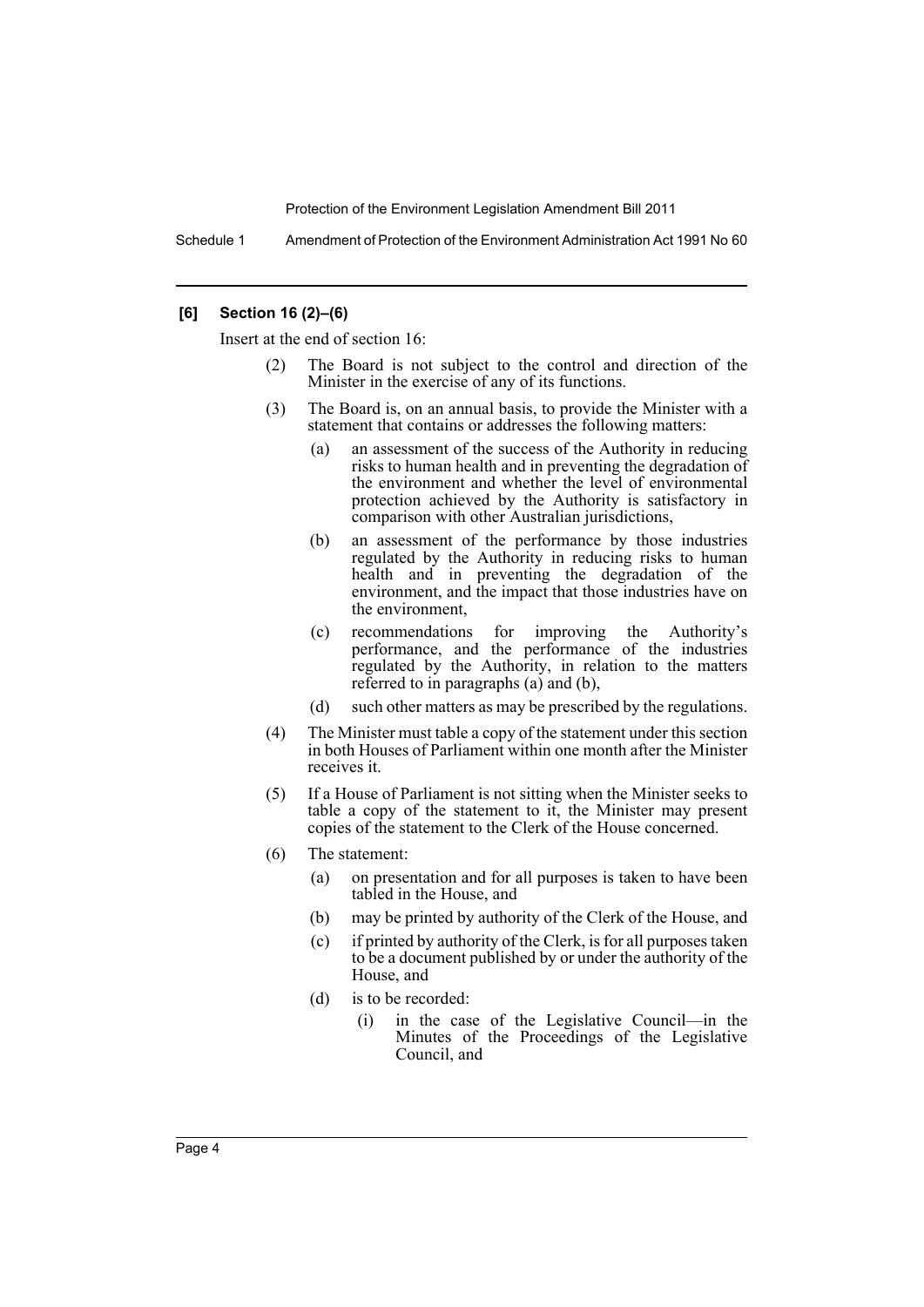Schedule 1 Amendment of Protection of the Environment Administration Act 1991 No 60

#### **[6] Section 16 (2)–(6)**

Insert at the end of section 16:

- The Board is not subject to the control and direction of the Minister in the exercise of any of its functions.
- (3) The Board is, on an annual basis, to provide the Minister with a statement that contains or addresses the following matters:
	- (a) an assessment of the success of the Authority in reducing risks to human health and in preventing the degradation of the environment and whether the level of environmental protection achieved by the Authority is satisfactory in comparison with other Australian jurisdictions,
	- (b) an assessment of the performance by those industries regulated by the Authority in reducing risks to human health and in preventing the degradation of the environment, and the impact that those industries have on the environment,
	- (c) recommendations for improving the Authority's performance, and the performance of the industries regulated by the Authority, in relation to the matters referred to in paragraphs (a) and (b),
	- (d) such other matters as may be prescribed by the regulations.
- (4) The Minister must table a copy of the statement under this section in both Houses of Parliament within one month after the Minister receives it.
- (5) If a House of Parliament is not sitting when the Minister seeks to table a copy of the statement to it, the Minister may present copies of the statement to the Clerk of the House concerned.
- (6) The statement:
	- (a) on presentation and for all purposes is taken to have been tabled in the House, and
	- (b) may be printed by authority of the Clerk of the House, and
	- (c) if printed by authority of the Clerk, is for all purposes taken to be a document published by or under the authority of the House, and
	- (d) is to be recorded:
		- (i) in the case of the Legislative Council—in the Minutes of the Proceedings of the Legislative Council, and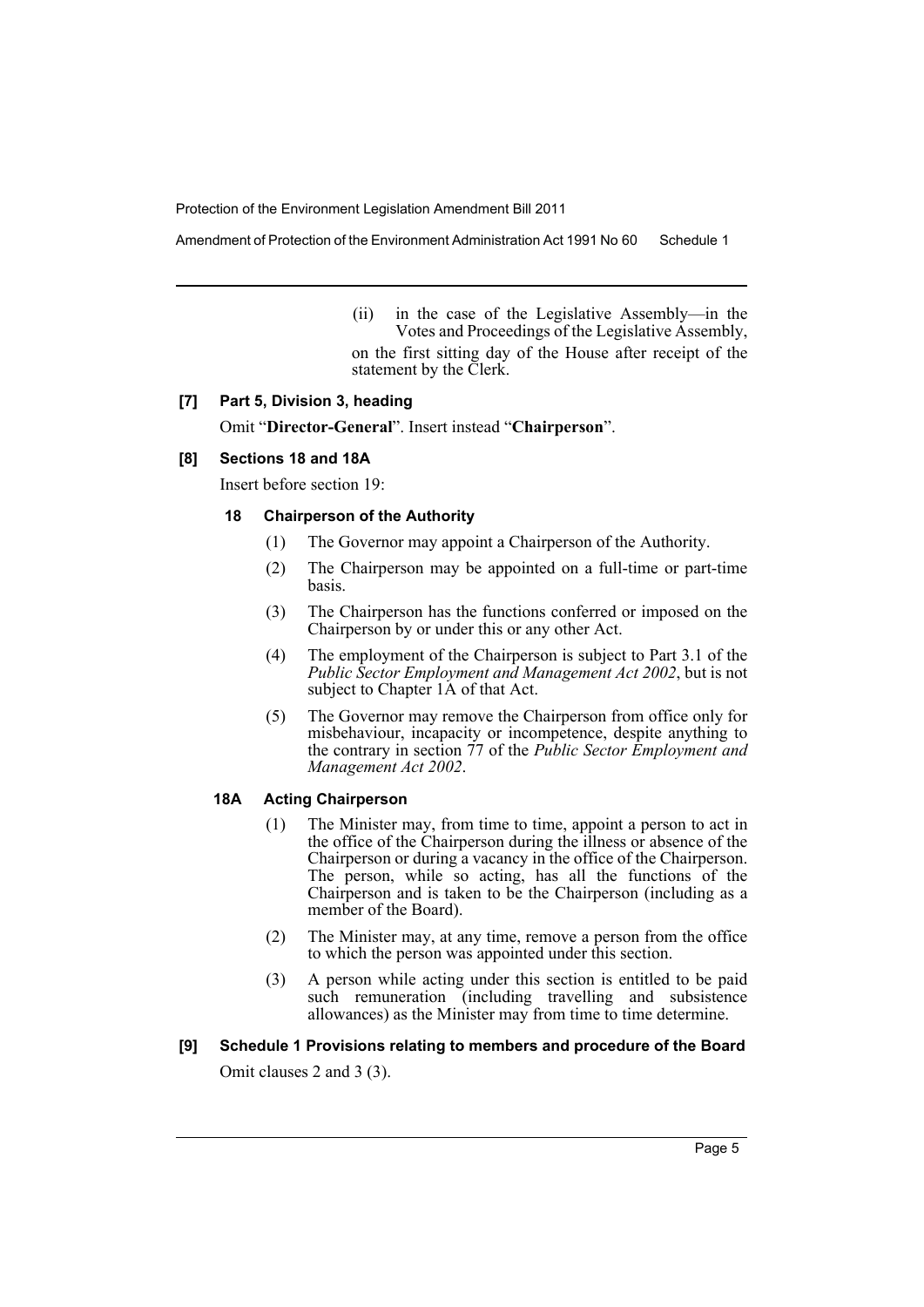Amendment of Protection of the Environment Administration Act 1991 No 60 Schedule 1

(ii) in the case of the Legislative Assembly—in the Votes and Proceedings of the Legislative Assembly, on the first sitting day of the House after receipt of the statement by the Clerk.

#### **[7] Part 5, Division 3, heading**

Omit "**Director-General**". Insert instead "**Chairperson**".

#### **[8] Sections 18 and 18A**

Insert before section 19:

## **18 Chairperson of the Authority**

- (1) The Governor may appoint a Chairperson of the Authority.
- (2) The Chairperson may be appointed on a full-time or part-time basis.
- (3) The Chairperson has the functions conferred or imposed on the Chairperson by or under this or any other Act.
- (4) The employment of the Chairperson is subject to Part 3.1 of the *Public Sector Employment and Management Act 2002*, but is not subject to Chapter 1A of that Act.
- (5) The Governor may remove the Chairperson from office only for misbehaviour, incapacity or incompetence, despite anything to the contrary in section 77 of the *Public Sector Employment and Management Act 2002*.

# **18A Acting Chairperson**

- (1) The Minister may, from time to time, appoint a person to act in the office of the Chairperson during the illness or absence of the Chairperson or during a vacancy in the office of the Chairperson. The person, while so acting, has all the functions of the Chairperson and is taken to be the Chairperson (including as a member of the Board).
- (2) The Minister may, at any time, remove a person from the office to which the person was appointed under this section.
- (3) A person while acting under this section is entitled to be paid such remuneration (including travelling and subsistence allowances) as the Minister may from time to time determine.

# **[9] Schedule 1 Provisions relating to members and procedure of the Board**

Omit clauses 2 and 3 (3).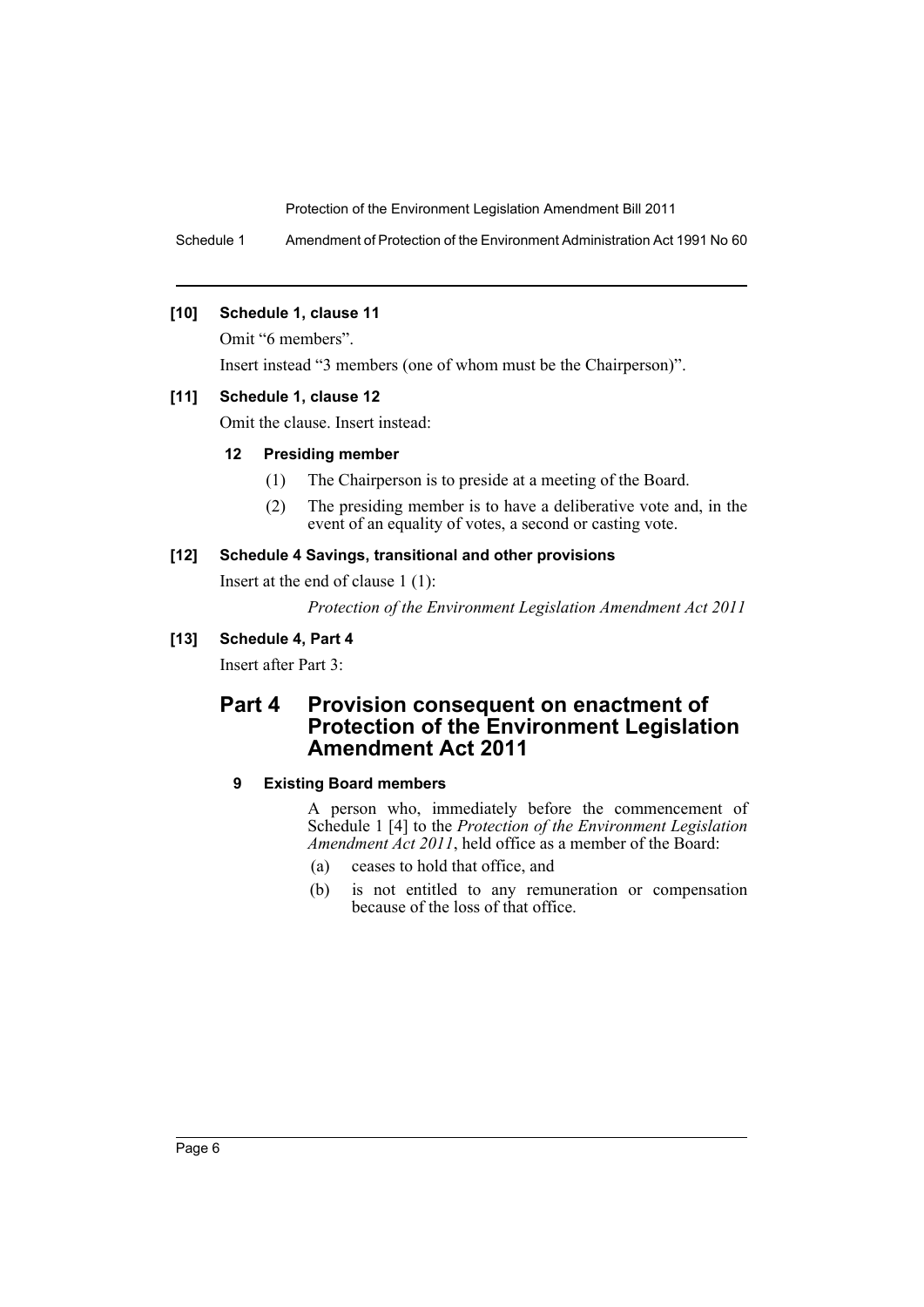Schedule 1 Amendment of Protection of the Environment Administration Act 1991 No 60

## **[10] Schedule 1, clause 11**

Omit "6 members".

Insert instead "3 members (one of whom must be the Chairperson)".

## **[11] Schedule 1, clause 12**

Omit the clause. Insert instead:

## **12 Presiding member**

- (1) The Chairperson is to preside at a meeting of the Board.
- (2) The presiding member is to have a deliberative vote and, in the event of an equality of votes, a second or casting vote.

## **[12] Schedule 4 Savings, transitional and other provisions**

Insert at the end of clause 1 (1):

*Protection of the Environment Legislation Amendment Act 2011*

# **[13] Schedule 4, Part 4**

Insert after Part 3:

# **Part 4 Provision consequent on enactment of Protection of the Environment Legislation Amendment Act 2011**

# **9 Existing Board members**

A person who, immediately before the commencement of Schedule 1 [4] to the *Protection of the Environment Legislation Amendment Act 2011*, held office as a member of the Board:

- (a) ceases to hold that office, and
- (b) is not entitled to any remuneration or compensation because of the loss of that office.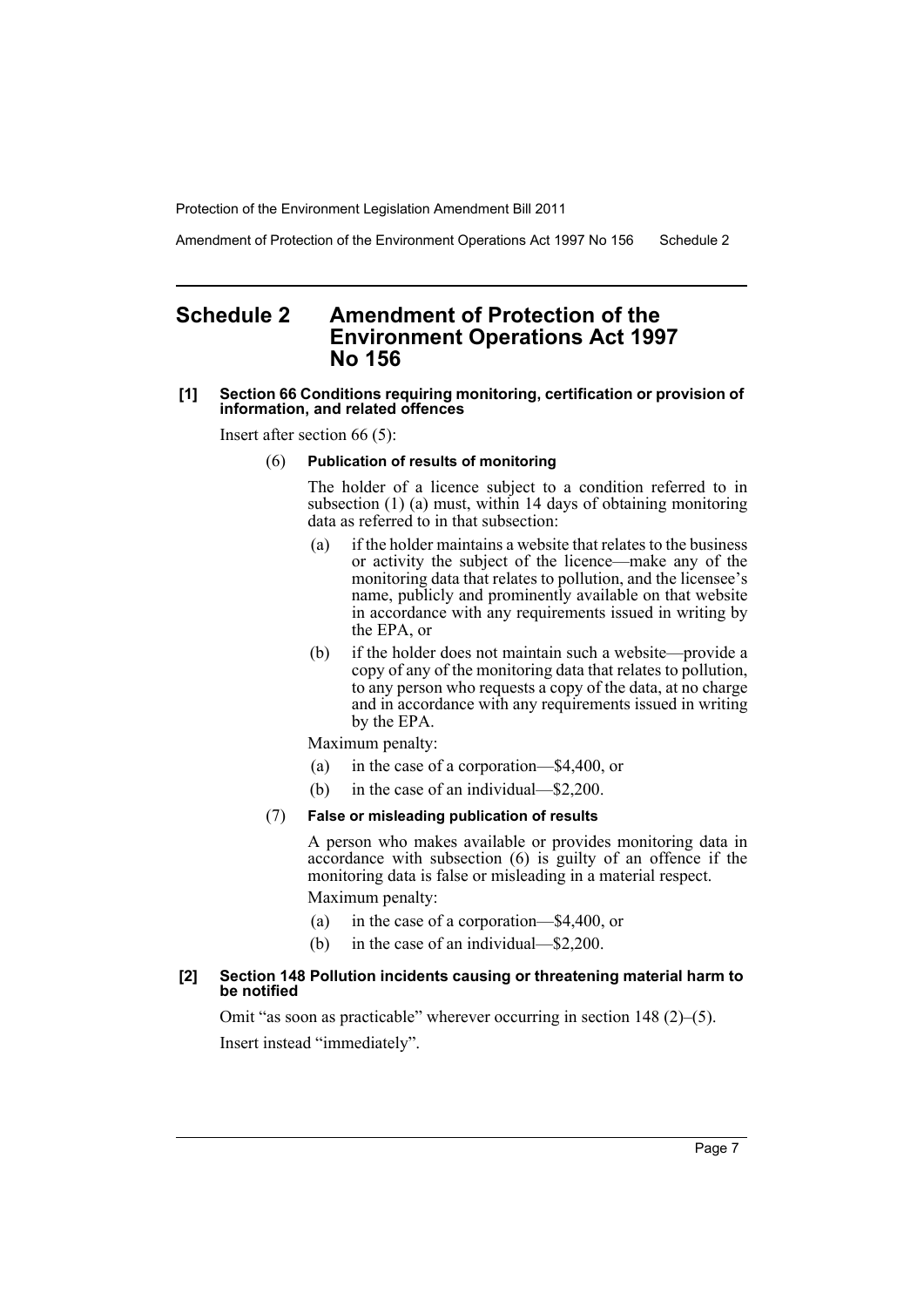Amendment of Protection of the Environment Operations Act 1997 No 156 Schedule 2

# <span id="page-8-0"></span>**Schedule 2 Amendment of Protection of the Environment Operations Act 1997 No 156**

#### **[1] Section 66 Conditions requiring monitoring, certification or provision of information, and related offences**

Insert after section 66 (5):

#### (6) **Publication of results of monitoring**

The holder of a licence subject to a condition referred to in subsection (1) (a) must, within 14 days of obtaining monitoring data as referred to in that subsection:

- (a) if the holder maintains a website that relates to the business or activity the subject of the licence—make any of the monitoring data that relates to pollution, and the licensee's name, publicly and prominently available on that website in accordance with any requirements issued in writing by the EPA, or
- (b) if the holder does not maintain such a website—provide a copy of any of the monitoring data that relates to pollution, to any person who requests a copy of the data, at no charge and in accordance with any requirements issued in writing by the EPA.

Maximum penalty:

- (a) in the case of a corporation—\$4,400, or
- (b) in the case of an individual—\$2,200.

#### (7) **False or misleading publication of results**

A person who makes available or provides monitoring data in accordance with subsection (6) is guilty of an offence if the monitoring data is false or misleading in a material respect.

Maximum penalty:

- (a) in the case of a corporation—\$4,400, or
- (b) in the case of an individual—\$2,200.

#### **[2] Section 148 Pollution incidents causing or threatening material harm to be notified**

Omit "as soon as practicable" wherever occurring in section 148 (2)–(5). Insert instead "immediately".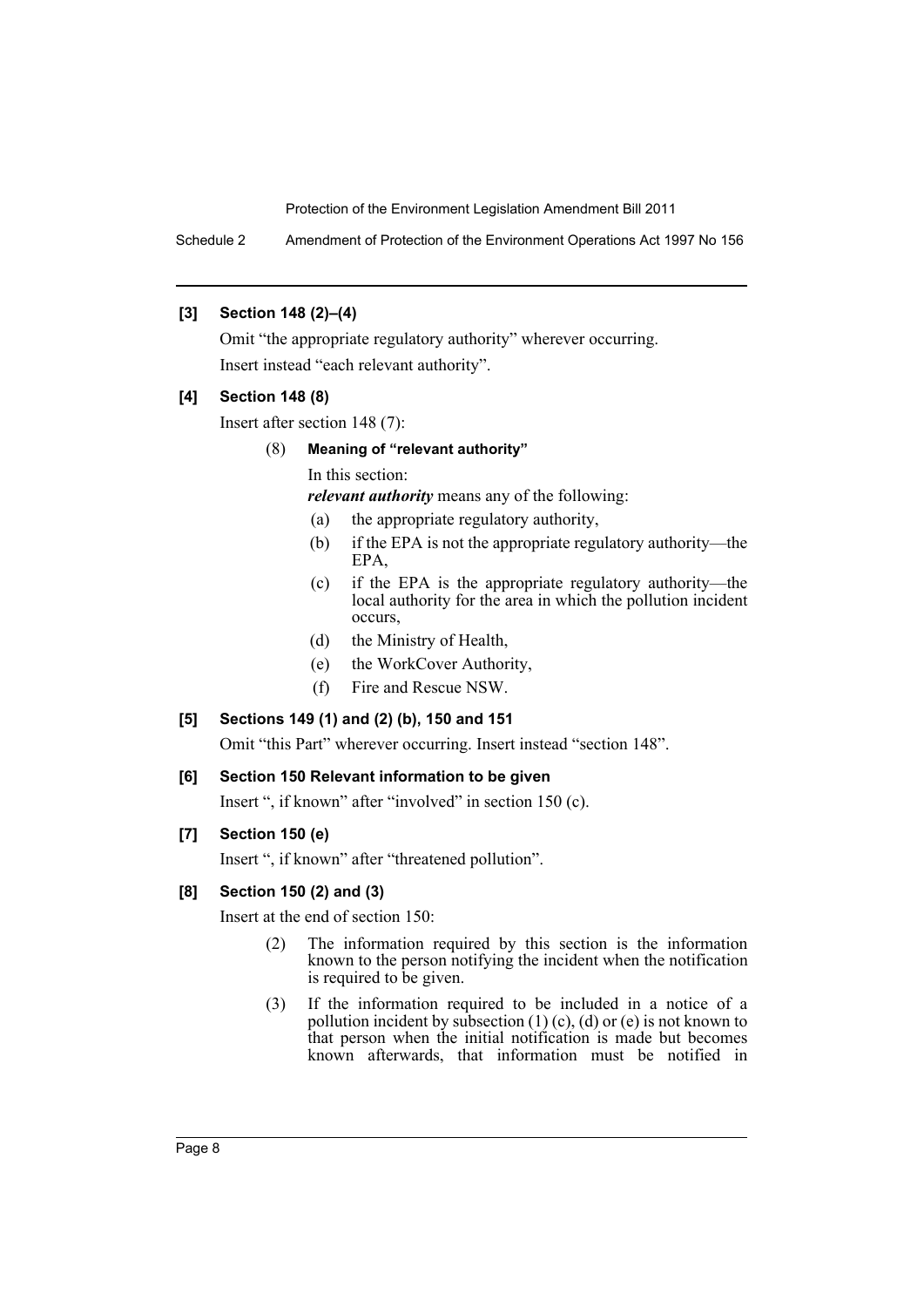Schedule 2 Amendment of Protection of the Environment Operations Act 1997 No 156

# **[3] Section 148 (2)–(4)**

Omit "the appropriate regulatory authority" wherever occurring. Insert instead "each relevant authority".

## **[4] Section 148 (8)**

Insert after section 148 (7):

# (8) **Meaning of "relevant authority"**

In this section:

*relevant authority* means any of the following:

- (a) the appropriate regulatory authority,
- (b) if the EPA is not the appropriate regulatory authority—the EPA,
- (c) if the EPA is the appropriate regulatory authority—the local authority for the area in which the pollution incident occurs,
- (d) the Ministry of Health,
- (e) the WorkCover Authority,
- (f) Fire and Rescue NSW.

# **[5] Sections 149 (1) and (2) (b), 150 and 151**

Omit "this Part" wherever occurring. Insert instead "section 148".

## **[6] Section 150 Relevant information to be given**

Insert ", if known" after "involved" in section 150 (c).

#### **[7] Section 150 (e)**

Insert ", if known" after "threatened pollution".

#### **[8] Section 150 (2) and (3)**

Insert at the end of section 150:

- (2) The information required by this section is the information known to the person notifying the incident when the notification is required to be given.
- (3) If the information required to be included in a notice of a pollution incident by subsection  $(1)$  (c), (d) or (e) is not known to that person when the initial notification is made but becomes known afterwards, that information must be notified in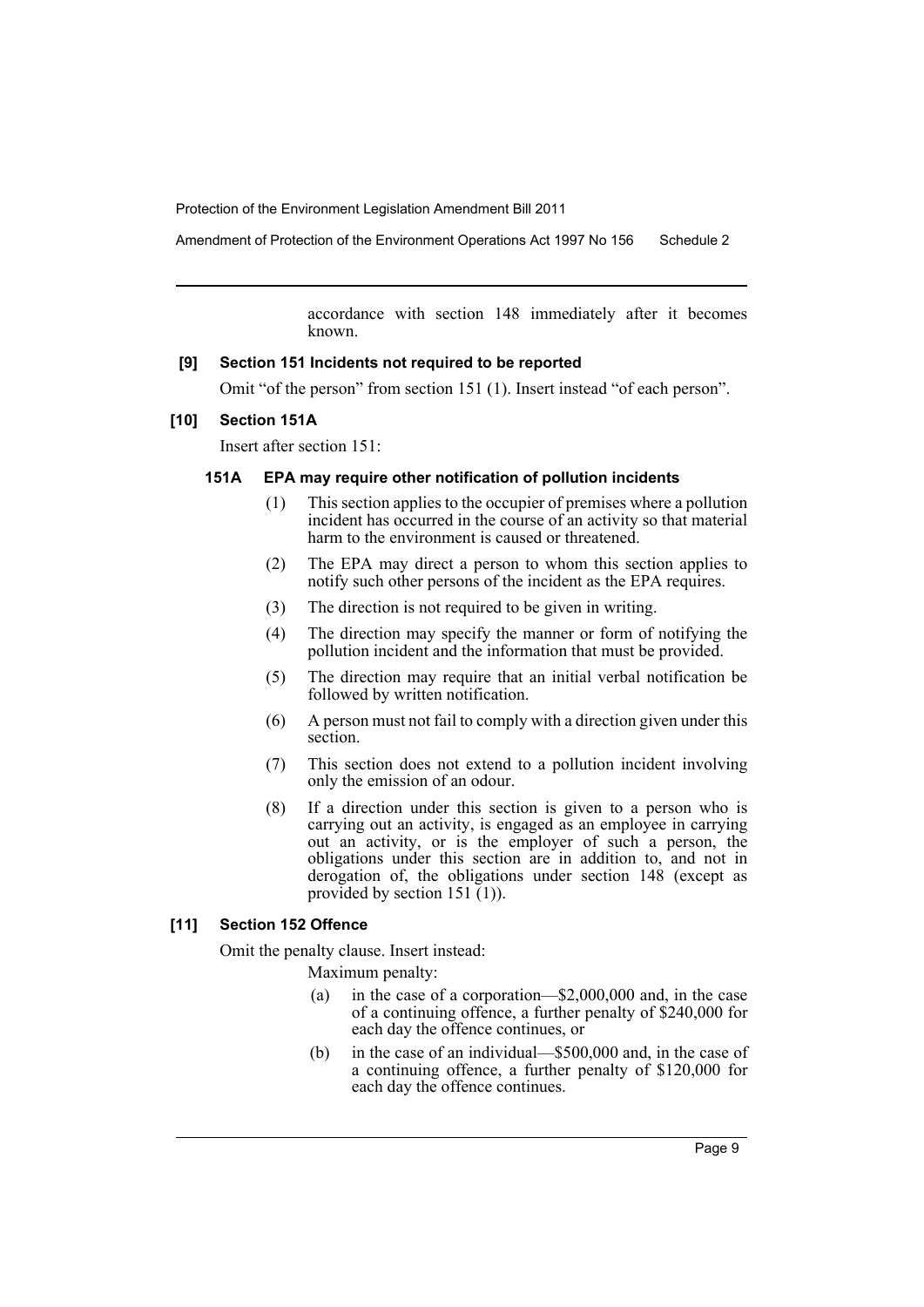Amendment of Protection of the Environment Operations Act 1997 No 156 Schedule 2

accordance with section 148 immediately after it becomes known.

#### **[9] Section 151 Incidents not required to be reported**

Omit "of the person" from section 151 (1). Insert instead "of each person".

#### **[10] Section 151A**

Insert after section 151:

#### **151A EPA may require other notification of pollution incidents**

- (1) This section applies to the occupier of premises where a pollution incident has occurred in the course of an activity so that material harm to the environment is caused or threatened.
- (2) The EPA may direct a person to whom this section applies to notify such other persons of the incident as the EPA requires.
- (3) The direction is not required to be given in writing.
- (4) The direction may specify the manner or form of notifying the pollution incident and the information that must be provided.
- (5) The direction may require that an initial verbal notification be followed by written notification.
- (6) A person must not fail to comply with a direction given under this section.
- (7) This section does not extend to a pollution incident involving only the emission of an odour.
- (8) If a direction under this section is given to a person who is carrying out an activity, is engaged as an employee in carrying out an activity, or is the employer of such a person, the obligations under this section are in addition to, and not in derogation of, the obligations under section 148 (except as provided by section  $151(1)$ ).

# **[11] Section 152 Offence**

Omit the penalty clause. Insert instead:

Maximum penalty:

- (a) in the case of a corporation—\$2,000,000 and, in the case of a continuing offence, a further penalty of \$240,000 for each day the offence continues, or
- (b) in the case of an individual—\$500,000 and, in the case of a continuing offence, a further penalty of \$120,000 for each day the offence continues.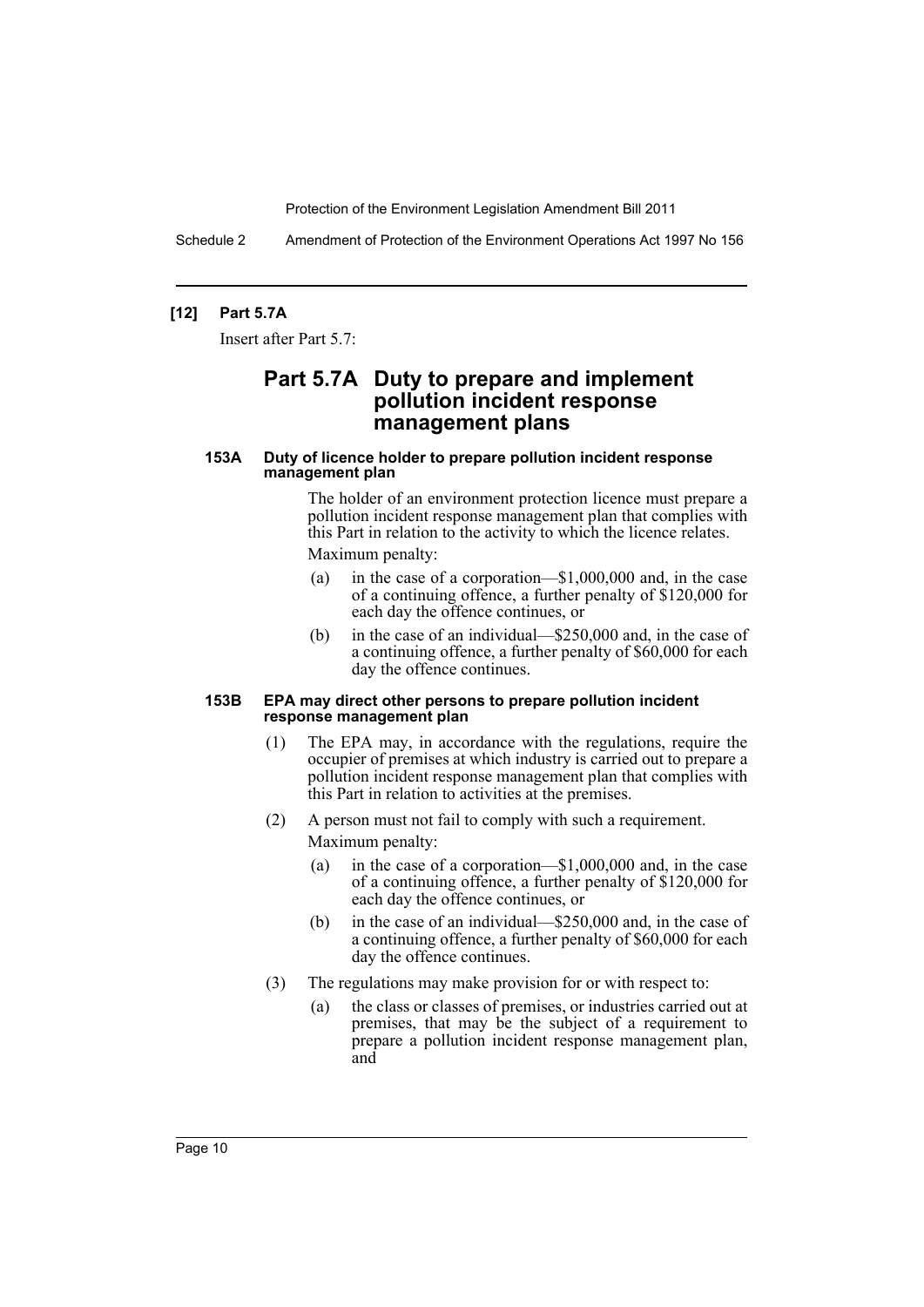Schedule 2 Amendment of Protection of the Environment Operations Act 1997 No 156

#### **[12] Part 5.7A**

Insert after Part 5.7:

# **Part 5.7A Duty to prepare and implement pollution incident response management plans**

#### **153A Duty of licence holder to prepare pollution incident response management plan**

The holder of an environment protection licence must prepare a pollution incident response management plan that complies with this Part in relation to the activity to which the licence relates. Maximum penalty:

- (a) in the case of a corporation—\$1,000,000 and, in the case of a continuing offence, a further penalty of \$120,000 for each day the offence continues, or
- (b) in the case of an individual—\$250,000 and, in the case of a continuing offence, a further penalty of \$60,000 for each day the offence continues.

#### **153B EPA may direct other persons to prepare pollution incident response management plan**

- (1) The EPA may, in accordance with the regulations, require the occupier of premises at which industry is carried out to prepare a pollution incident response management plan that complies with this Part in relation to activities at the premises.
- (2) A person must not fail to comply with such a requirement. Maximum penalty:
	- (a) in the case of a corporation—\$1,000,000 and, in the case of a continuing offence, a further penalty of \$120,000 for each day the offence continues, or
	- (b) in the case of an individual—\$250,000 and, in the case of a continuing offence, a further penalty of \$60,000 for each day the offence continues.
- (3) The regulations may make provision for or with respect to:
	- (a) the class or classes of premises, or industries carried out at premises, that may be the subject of a requirement to prepare a pollution incident response management plan, and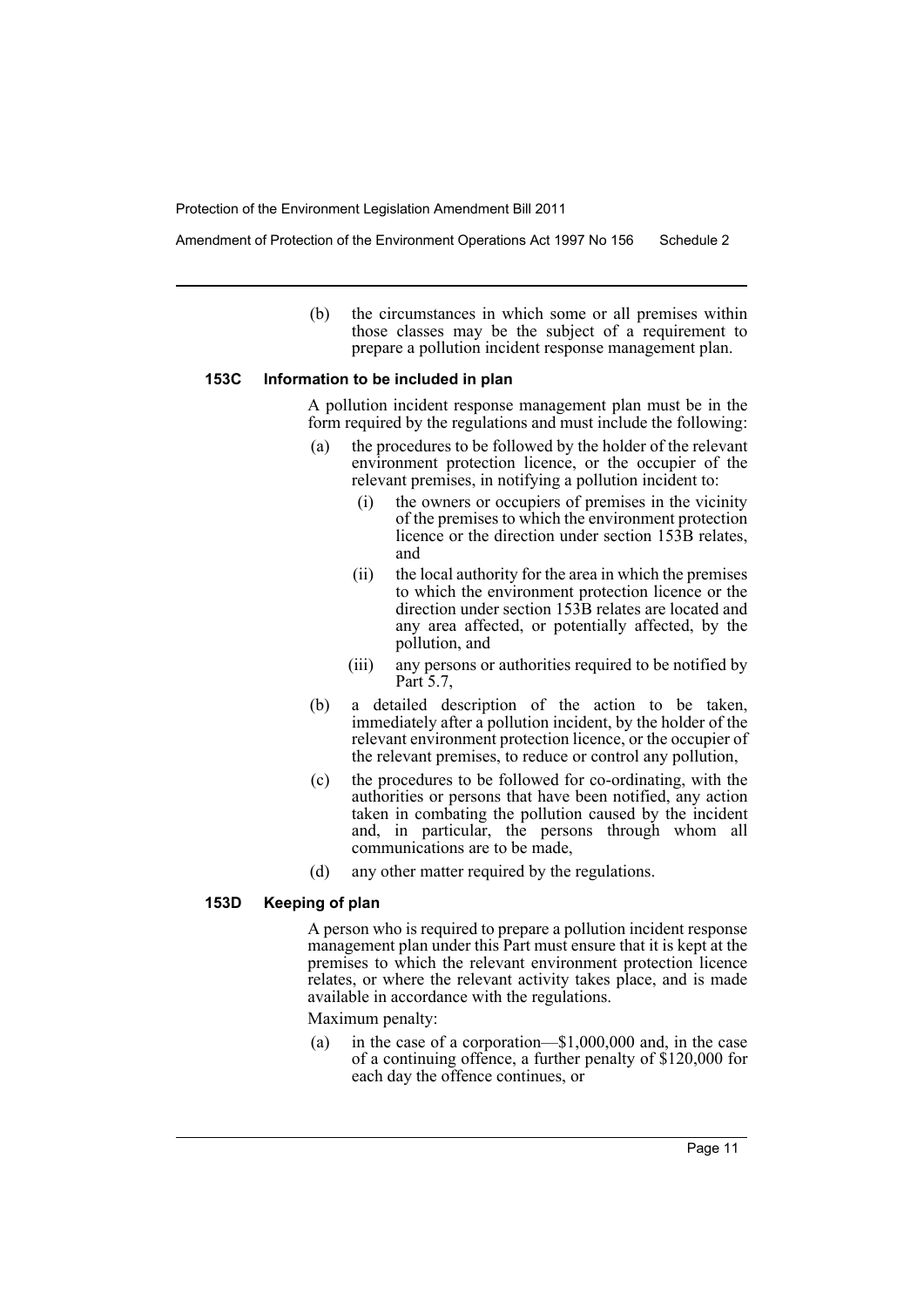Amendment of Protection of the Environment Operations Act 1997 No 156 Schedule 2

(b) the circumstances in which some or all premises within those classes may be the subject of a requirement to prepare a pollution incident response management plan.

#### **153C Information to be included in plan**

A pollution incident response management plan must be in the form required by the regulations and must include the following:

- (a) the procedures to be followed by the holder of the relevant environment protection licence, or the occupier of the relevant premises, in notifying a pollution incident to:
	- (i) the owners or occupiers of premises in the vicinity of the premises to which the environment protection licence or the direction under section 153B relates, and
	- (ii) the local authority for the area in which the premises to which the environment protection licence or the direction under section 153B relates are located and any area affected, or potentially affected, by the pollution, and
	- (iii) any persons or authorities required to be notified by Part 5.7,
- (b) a detailed description of the action to be taken, immediately after a pollution incident, by the holder of the relevant environment protection licence, or the occupier of the relevant premises, to reduce or control any pollution,
- (c) the procedures to be followed for co-ordinating, with the authorities or persons that have been notified, any action taken in combating the pollution caused by the incident and, in particular, the persons through whom all communications are to be made,
- (d) any other matter required by the regulations.

#### **153D Keeping of plan**

A person who is required to prepare a pollution incident response management plan under this Part must ensure that it is kept at the premises to which the relevant environment protection licence relates, or where the relevant activity takes place, and is made available in accordance with the regulations.

Maximum penalty:

(a) in the case of a corporation—\$1,000,000 and, in the case of a continuing offence, a further penalty of \$120,000 for each day the offence continues, or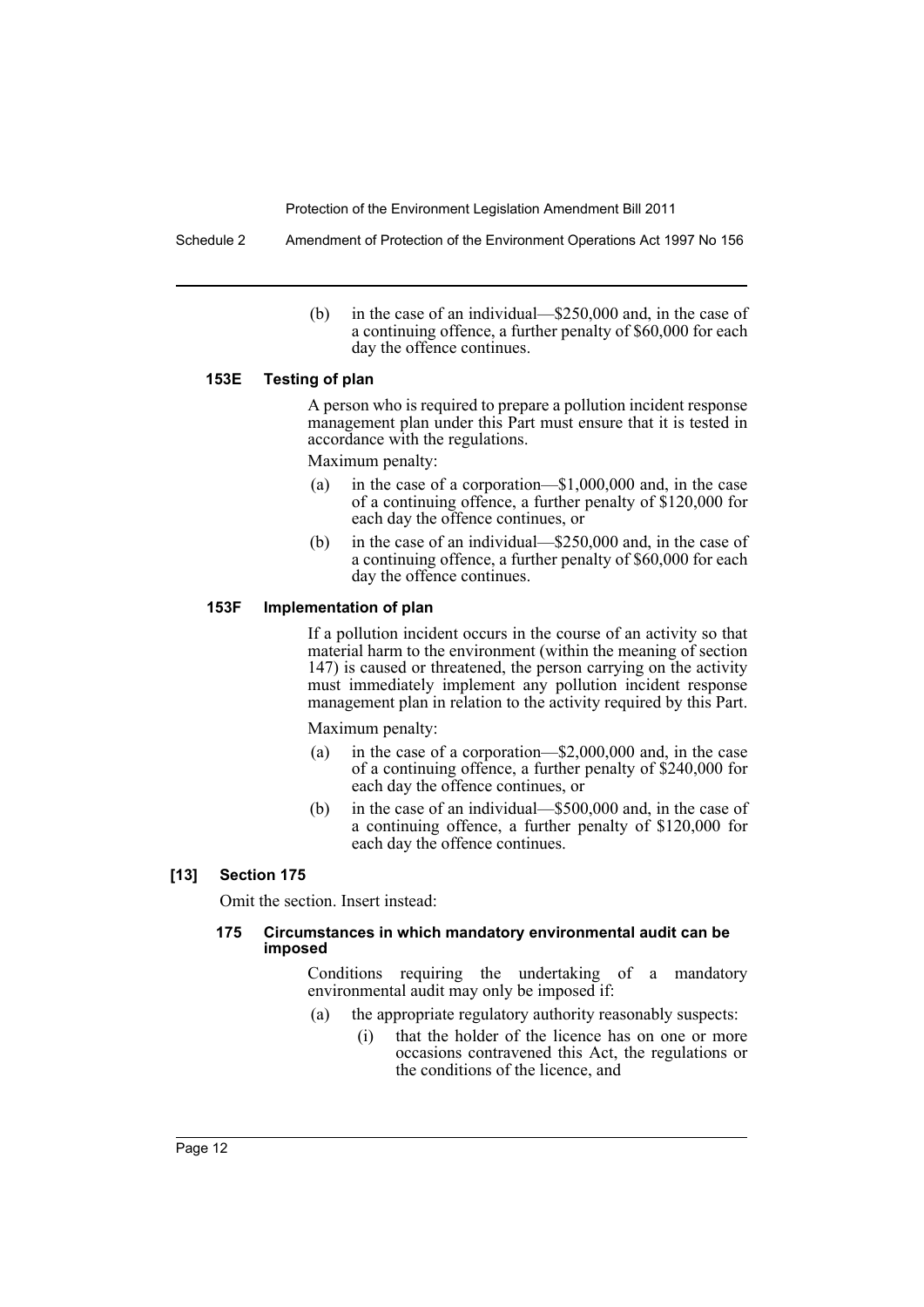Schedule 2 Amendment of Protection of the Environment Operations Act 1997 No 156

(b) in the case of an individual—\$250,000 and, in the case of a continuing offence, a further penalty of \$60,000 for each day the offence continues.

#### **153E Testing of plan**

A person who is required to prepare a pollution incident response management plan under this Part must ensure that it is tested in accordance with the regulations.

Maximum penalty:

- (a) in the case of a corporation—\$1,000,000 and, in the case of a continuing offence, a further penalty of \$120,000 for each day the offence continues, or
- (b) in the case of an individual—\$250,000 and, in the case of a continuing offence, a further penalty of \$60,000 for each day the offence continues.

#### **153F Implementation of plan**

If a pollution incident occurs in the course of an activity so that material harm to the environment (within the meaning of section 147) is caused or threatened, the person carrying on the activity must immediately implement any pollution incident response management plan in relation to the activity required by this Part.

Maximum penalty:

- (a) in the case of a corporation—\$2,000,000 and, in the case of a continuing offence, a further penalty of \$240,000 for each day the offence continues, or
- (b) in the case of an individual—\$500,000 and, in the case of a continuing offence, a further penalty of \$120,000 for each day the offence continues.

#### **[13] Section 175**

Omit the section. Insert instead:

#### **175 Circumstances in which mandatory environmental audit can be imposed**

Conditions requiring the undertaking of a mandatory environmental audit may only be imposed if:

- (a) the appropriate regulatory authority reasonably suspects:
	- (i) that the holder of the licence has on one or more occasions contravened this Act, the regulations or the conditions of the licence, and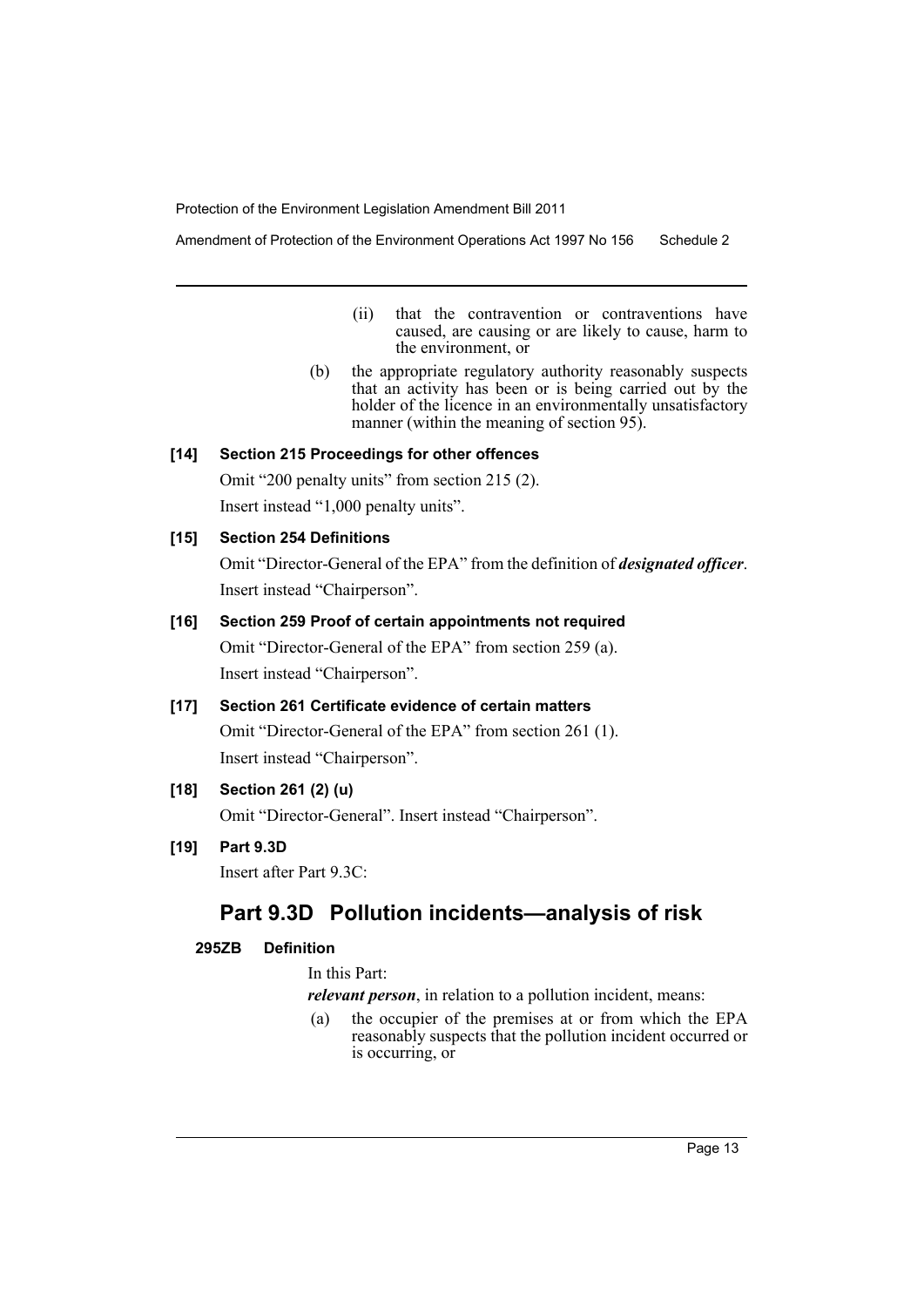Amendment of Protection of the Environment Operations Act 1997 No 156 Schedule 2

- (ii) that the contravention or contraventions have caused, are causing or are likely to cause, harm to the environment, or
- (b) the appropriate regulatory authority reasonably suspects that an activity has been or is being carried out by the holder of the licence in an environmentally unsatisfactory manner (within the meaning of section 95).

#### **[14] Section 215 Proceedings for other offences**

Omit "200 penalty units" from section 215 (2). Insert instead "1,000 penalty units".

# **[15] Section 254 Definitions**

Omit "Director-General of the EPA" from the definition of *designated officer*. Insert instead "Chairperson".

## **[16] Section 259 Proof of certain appointments not required**

Omit "Director-General of the EPA" from section 259 (a). Insert instead "Chairperson".

# **[17] Section 261 Certificate evidence of certain matters**

Omit "Director-General of the EPA" from section 261 (1). Insert instead "Chairperson".

# **[18] Section 261 (2) (u)**

Omit "Director-General". Insert instead "Chairperson".

# **[19] Part 9.3D**

Insert after Part 9.3C:

# **Part 9.3D Pollution incidents—analysis of risk**

# **295ZB Definition**

In this Part:

*relevant person*, in relation to a pollution incident, means:

(a) the occupier of the premises at or from which the EPA reasonably suspects that the pollution incident occurred or is occurring, or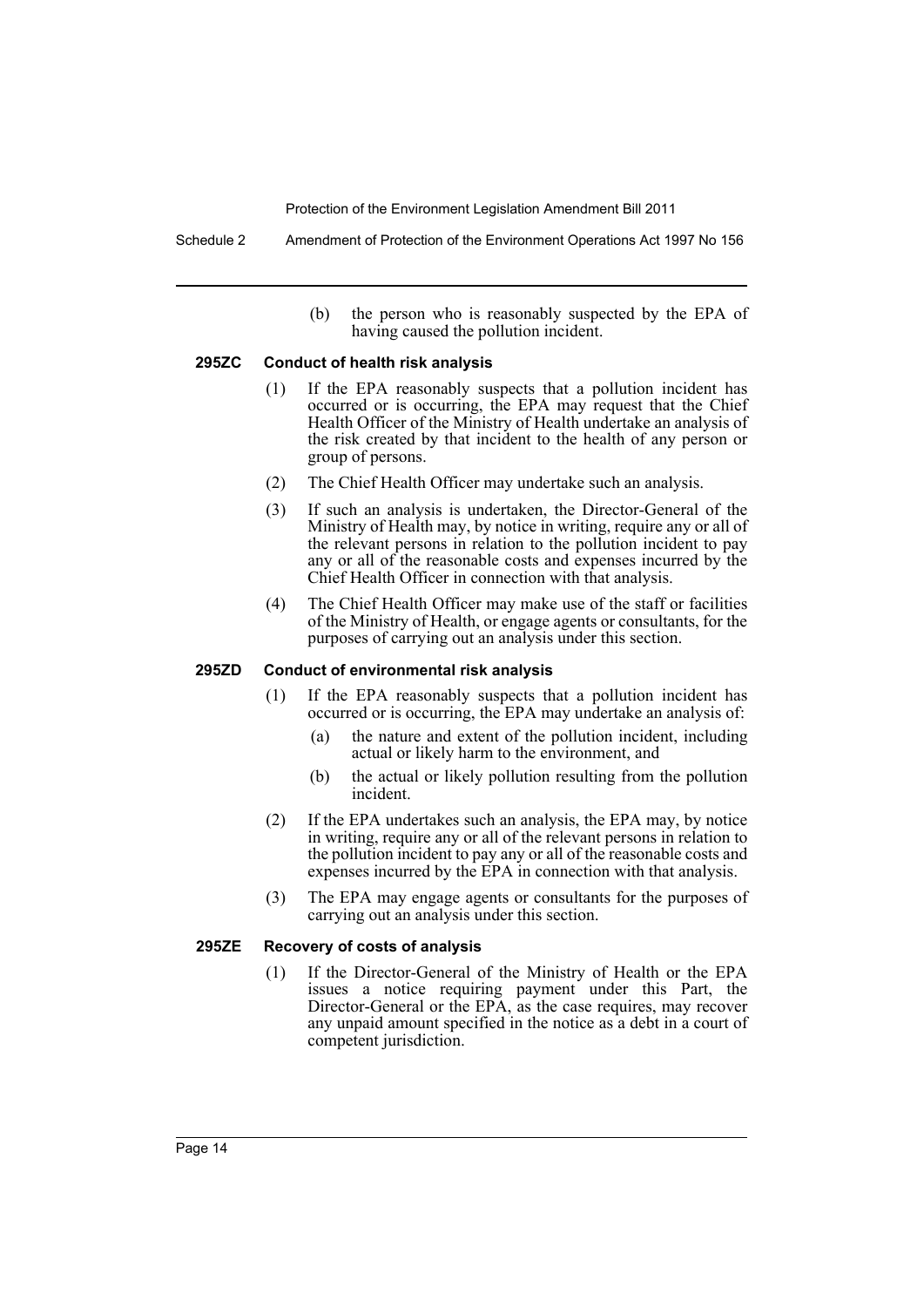Schedule 2 Amendment of Protection of the Environment Operations Act 1997 No 156

(b) the person who is reasonably suspected by the EPA of having caused the pollution incident.

#### **295ZC Conduct of health risk analysis**

- (1) If the EPA reasonably suspects that a pollution incident has occurred or is occurring, the EPA may request that the Chief Health Officer of the Ministry of Health undertake an analysis of the risk created by that incident to the health of any person or group of persons.
- (2) The Chief Health Officer may undertake such an analysis.
- (3) If such an analysis is undertaken, the Director-General of the Ministry of Health may, by notice in writing, require any or all of the relevant persons in relation to the pollution incident to pay any or all of the reasonable costs and expenses incurred by the Chief Health Officer in connection with that analysis.
- (4) The Chief Health Officer may make use of the staff or facilities of the Ministry of Health, or engage agents or consultants, for the purposes of carrying out an analysis under this section.

#### **295ZD Conduct of environmental risk analysis**

- (1) If the EPA reasonably suspects that a pollution incident has occurred or is occurring, the EPA may undertake an analysis of:
	- (a) the nature and extent of the pollution incident, including actual or likely harm to the environment, and
	- (b) the actual or likely pollution resulting from the pollution incident.
- (2) If the EPA undertakes such an analysis, the EPA may, by notice in writing, require any or all of the relevant persons in relation to the pollution incident to pay any or all of the reasonable costs and expenses incurred by the EPA in connection with that analysis.
- (3) The EPA may engage agents or consultants for the purposes of carrying out an analysis under this section.

#### **295ZE Recovery of costs of analysis**

(1) If the Director-General of the Ministry of Health or the EPA issues a notice requiring payment under this Part, the Director-General or the EPA, as the case requires, may recover any unpaid amount specified in the notice as a debt in a court of competent jurisdiction.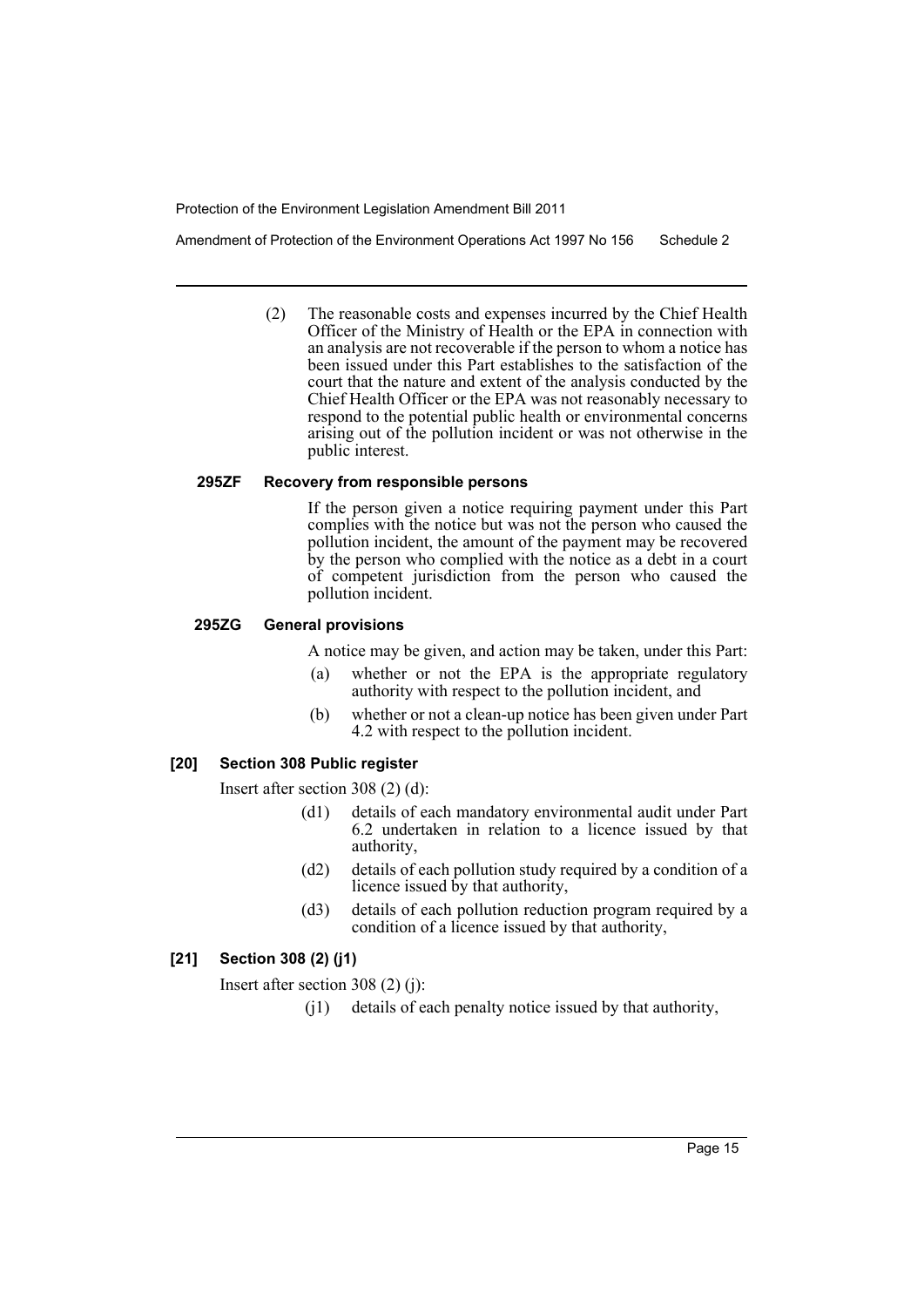Amendment of Protection of the Environment Operations Act 1997 No 156 Schedule 2

(2) The reasonable costs and expenses incurred by the Chief Health Officer of the Ministry of Health or the EPA in connection with an analysis are not recoverable if the person to whom a notice has been issued under this Part establishes to the satisfaction of the court that the nature and extent of the analysis conducted by the Chief Health Officer or the EPA was not reasonably necessary to respond to the potential public health or environmental concerns arising out of the pollution incident or was not otherwise in the public interest.

#### **295ZF Recovery from responsible persons**

If the person given a notice requiring payment under this Part complies with the notice but was not the person who caused the pollution incident, the amount of the payment may be recovered by the person who complied with the notice as a debt in a court of competent jurisdiction from the person who caused the pollution incident.

#### **295ZG General provisions**

A notice may be given, and action may be taken, under this Part:

- (a) whether or not the EPA is the appropriate regulatory authority with respect to the pollution incident, and
- (b) whether or not a clean-up notice has been given under Part 4.2 with respect to the pollution incident.

#### **[20] Section 308 Public register**

Insert after section 308 (2) (d):

- (d1) details of each mandatory environmental audit under Part 6.2 undertaken in relation to a licence issued by that authority,
- (d2) details of each pollution study required by a condition of a licence issued by that authority,
- (d3) details of each pollution reduction program required by a condition of a licence issued by that authority,

#### **[21] Section 308 (2) (j1)**

Insert after section 308 (2) (j):

(j1) details of each penalty notice issued by that authority,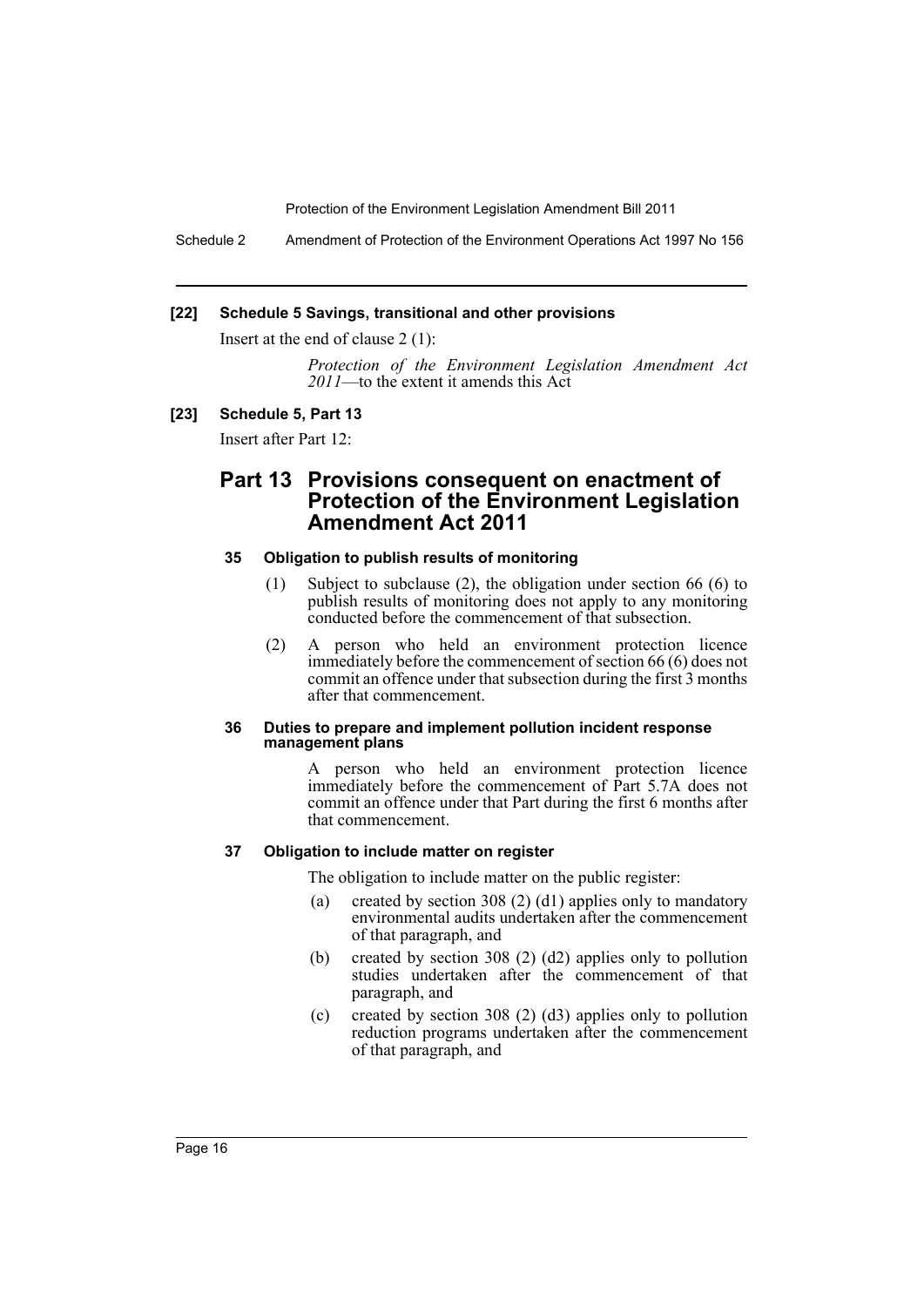Schedule 2 Amendment of Protection of the Environment Operations Act 1997 No 156

#### **[22] Schedule 5 Savings, transitional and other provisions**

Insert at the end of clause 2 (1):

*Protection of the Environment Legislation Amendment Act 2011*—to the extent it amends this Act

#### **[23] Schedule 5, Part 13**

Insert after Part 12:

# **Part 13 Provisions consequent on enactment of Protection of the Environment Legislation Amendment Act 2011**

#### **35 Obligation to publish results of monitoring**

- (1) Subject to subclause (2), the obligation under section 66 (6) to publish results of monitoring does not apply to any monitoring conducted before the commencement of that subsection.
- (2) A person who held an environment protection licence immediately before the commencement of section 66 (6) does not commit an offence under that subsection during the first 3 months after that commencement.

#### **36 Duties to prepare and implement pollution incident response management plans**

A person who held an environment protection licence immediately before the commencement of Part 5.7A does not commit an offence under that Part during the first 6 months after that commencement.

#### **37 Obligation to include matter on register**

The obligation to include matter on the public register:

- (a) created by section 308 (2) (d1) applies only to mandatory environmental audits undertaken after the commencement of that paragraph, and
- (b) created by section 308 (2) (d2) applies only to pollution studies undertaken after the commencement of that paragraph, and
- (c) created by section 308 (2) (d3) applies only to pollution reduction programs undertaken after the commencement of that paragraph, and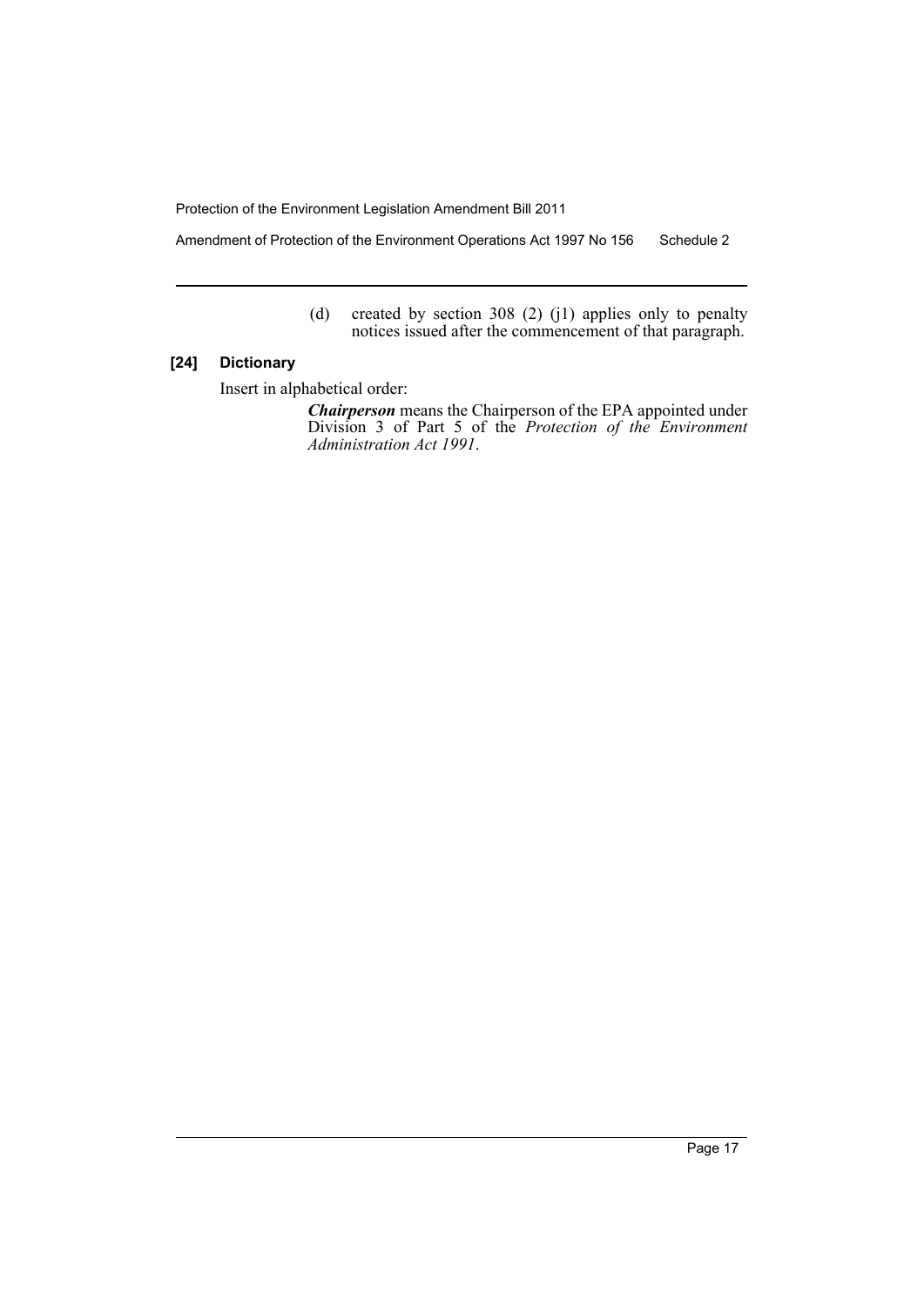Amendment of Protection of the Environment Operations Act 1997 No 156 Schedule 2

(d) created by section 308 (2) (j1) applies only to penalty notices issued after the commencement of that paragraph.

#### **[24] Dictionary**

Insert in alphabetical order:

*Chairperson* means the Chairperson of the EPA appointed under Division 3 of Part 5 of the *Protection of the Environment Administration Act 1991*.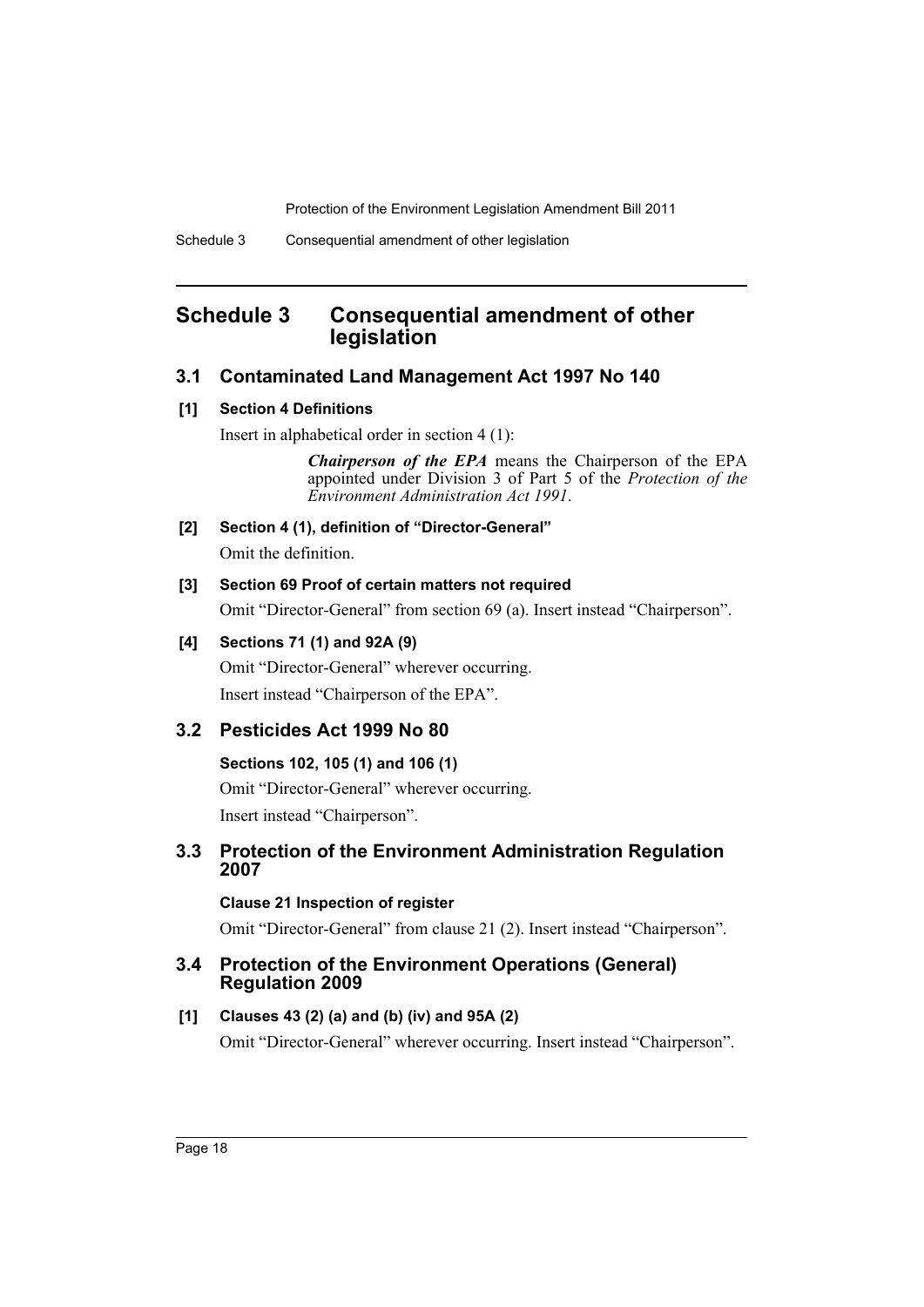# <span id="page-19-0"></span>**Schedule 3 Consequential amendment of other legislation**

# **3.1 Contaminated Land Management Act 1997 No 140**

#### **[1] Section 4 Definitions**

Insert in alphabetical order in section 4 (1):

*Chairperson of the EPA* means the Chairperson of the EPA appointed under Division 3 of Part 5 of the *Protection of the Environment Administration Act 1991*.

**[2] Section 4 (1), definition of "Director-General"** Omit the definition.

## **[3] Section 69 Proof of certain matters not required**

Omit "Director-General" from section 69 (a). Insert instead "Chairperson".

# **[4] Sections 71 (1) and 92A (9)**

Omit "Director-General" wherever occurring. Insert instead "Chairperson of the EPA".

# **3.2 Pesticides Act 1999 No 80**

# **Sections 102, 105 (1) and 106 (1)**

Omit "Director-General" wherever occurring. Insert instead "Chairperson".

# **3.3 Protection of the Environment Administration Regulation 2007**

# **Clause 21 Inspection of register**

Omit "Director-General" from clause 21 (2). Insert instead "Chairperson".

# **3.4 Protection of the Environment Operations (General) Regulation 2009**

# **[1] Clauses 43 (2) (a) and (b) (iv) and 95A (2)**

Omit "Director-General" wherever occurring. Insert instead "Chairperson".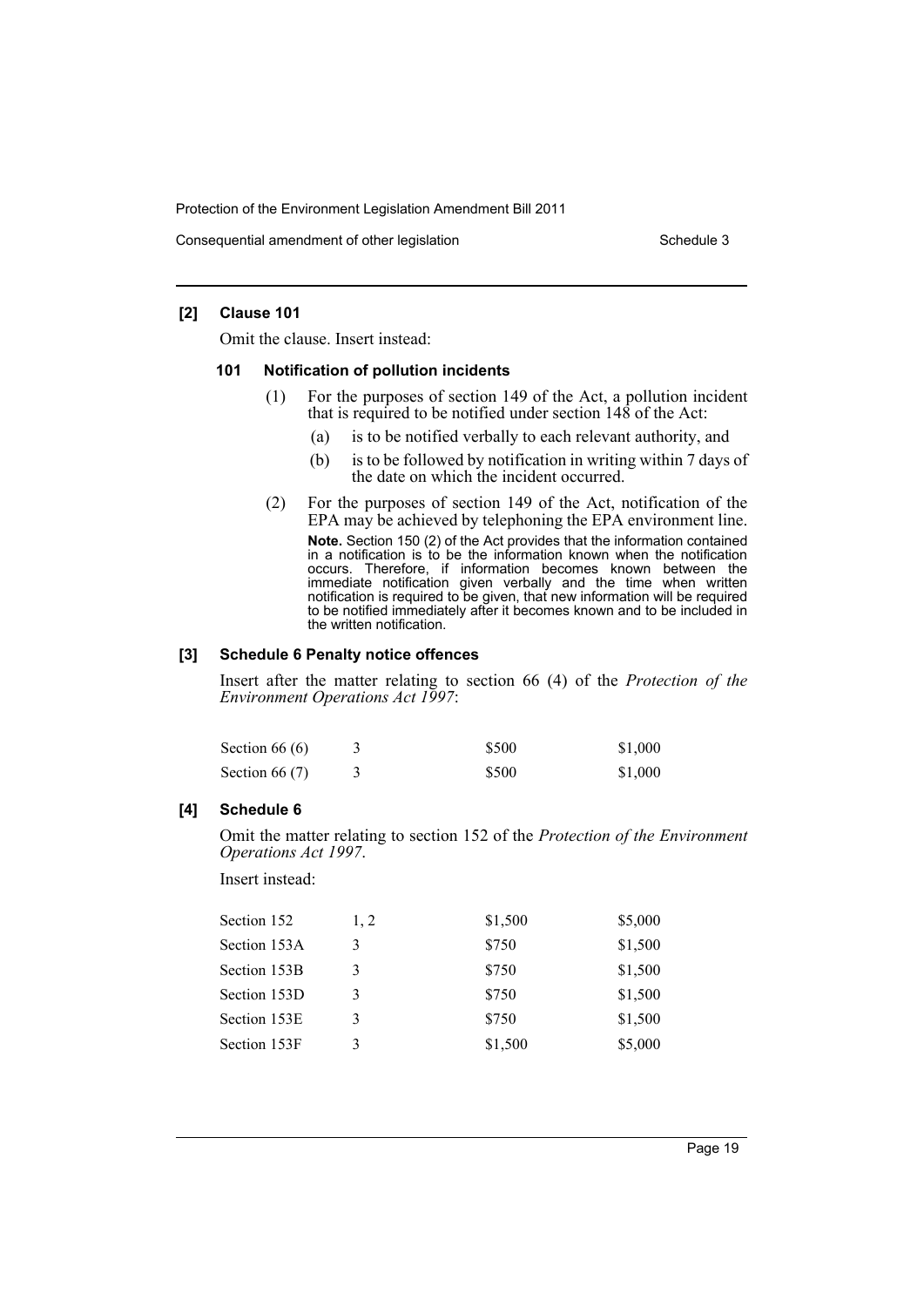Consequential amendment of other legislation Schedule 3

#### **[2] Clause 101**

Omit the clause. Insert instead:

#### **101 Notification of pollution incidents**

- (1) For the purposes of section 149 of the Act, a pollution incident that is required to be notified under section 148 of the Act:
	- (a) is to be notified verbally to each relevant authority, and
	- (b) is to be followed by notification in writing within 7 days of the date on which the incident occurred.
- (2) For the purposes of section 149 of the Act, notification of the EPA may be achieved by telephoning the EPA environment line. **Note.** Section 150 (2) of the Act provides that the information contained in a notification is to be the information known when the notification occurs. Therefore, if information becomes known between the immediate notification given verbally and the time when written notification is required to be given, that new information will be required to be notified immediately after it becomes known and to be included in the written notification.

#### **[3] Schedule 6 Penalty notice offences**

Insert after the matter relating to section 66 (4) of the *Protection of the Environment Operations Act 1997*:

| Section $66(6)$  | \$500 | \$1,000 |
|------------------|-------|---------|
| Section 66 $(7)$ | \$500 | \$1,000 |

#### **[4] Schedule 6**

Omit the matter relating to section 152 of the *Protection of the Environment Operations Act 1997*.

Insert instead:

| Section 152  | 1.2 | \$1,500 | \$5,000 |
|--------------|-----|---------|---------|
| Section 153A | 3   | \$750   | \$1,500 |
| Section 153B | 3   | \$750   | \$1,500 |
| Section 153D | 3   | \$750   | \$1,500 |
| Section 153E | 3   | \$750   | \$1,500 |
| Section 153F | 3   | \$1,500 | \$5,000 |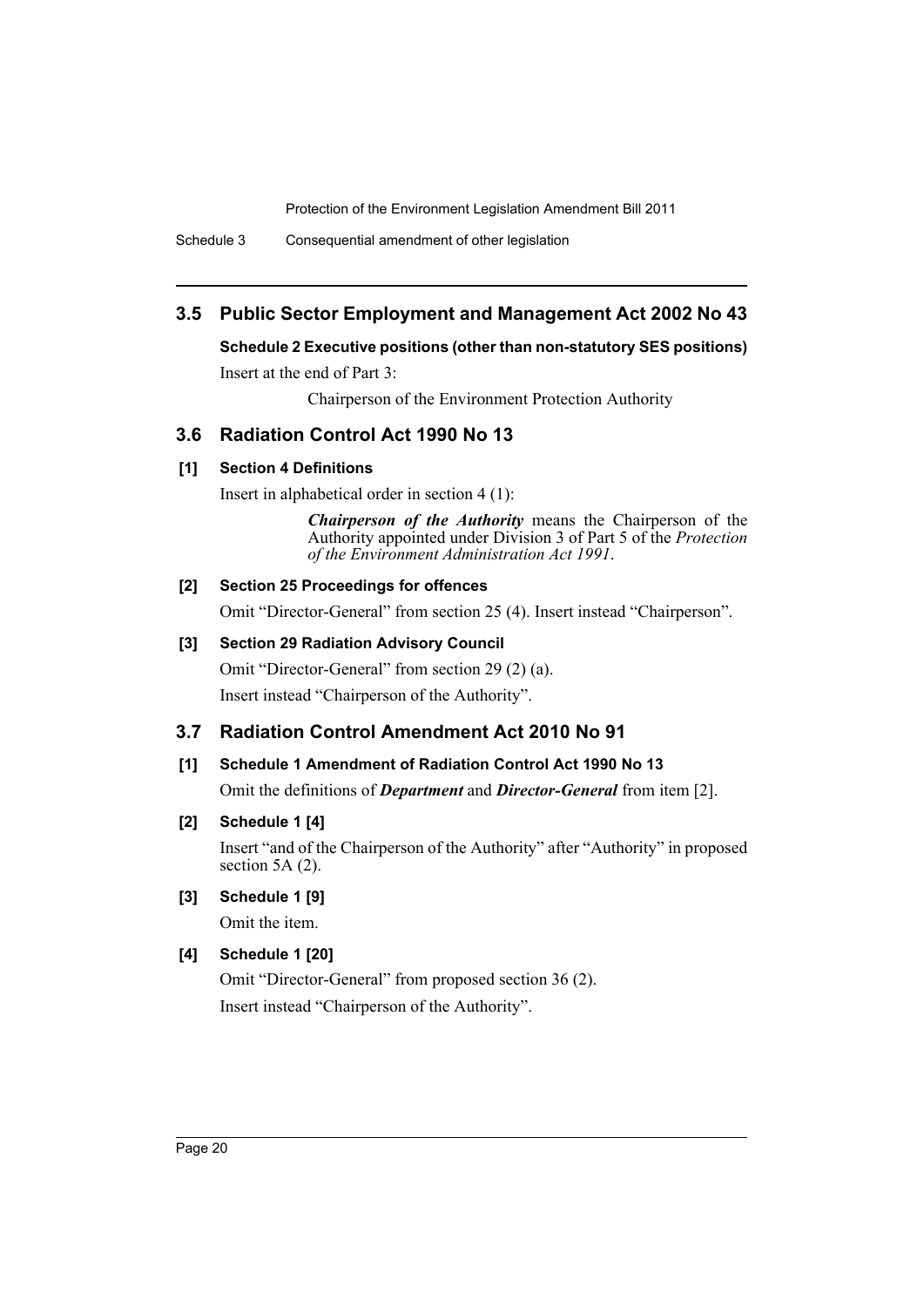Schedule 3 Consequential amendment of other legislation

# **3.5 Public Sector Employment and Management Act 2002 No 43**

# **Schedule 2 Executive positions (other than non-statutory SES positions)**

Insert at the end of Part 3:

Chairperson of the Environment Protection Authority

# **3.6 Radiation Control Act 1990 No 13**

## **[1] Section 4 Definitions**

Insert in alphabetical order in section 4 (1):

*Chairperson of the Authority* means the Chairperson of the Authority appointed under Division 3 of Part 5 of the *Protection of the Environment Administration Act 1991*.

# **[2] Section 25 Proceedings for offences**

Omit "Director-General" from section 25 (4). Insert instead "Chairperson".

# **[3] Section 29 Radiation Advisory Council**

Omit "Director-General" from section 29 (2) (a). Insert instead "Chairperson of the Authority".

# **3.7 Radiation Control Amendment Act 2010 No 91**

# **[1] Schedule 1 Amendment of Radiation Control Act 1990 No 13**

Omit the definitions of *Department* and *Director-General* from item [2].

# **[2] Schedule 1 [4]**

Insert "and of the Chairperson of the Authority" after "Authority" in proposed section 5A  $(2)$ .

# **[3] Schedule 1 [9]**

Omit the item.

# **[4] Schedule 1 [20]**

Omit "Director-General" from proposed section 36 (2). Insert instead "Chairperson of the Authority".